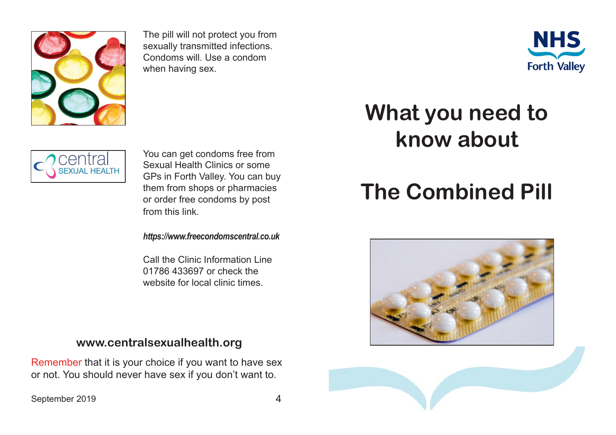

The pill will not protect you from sexually transmitted infections. Condoms will. Use a condom when having sex.





You can get condoms free from Sexual Health Clinics or some GPs in Forth Valley. You can buy them from shops or pharmacies or order free condoms by post from this link.

*https://www.freecondomscentral.co.uk*

Call the Clinic Information Line 01786 433697 or check the website for local clinic times.

## **www.centralsexualhealth.org**

Remember that it is your choice if you want to have sex or not. You should never have sex if you don't want to.

## September 2019 4



## **What you need to know about**

## **The Combined Pill**